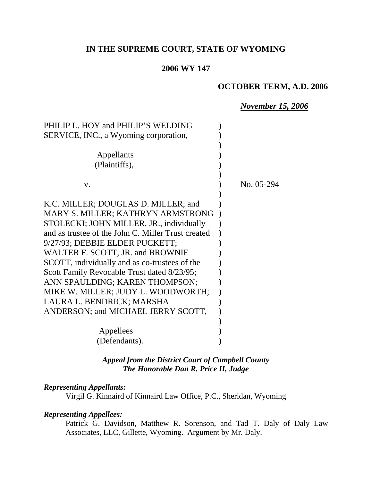# **IN THE SUPREME COURT, STATE OF WYOMING**

### **2006 WY 147**

## **OCTOBER TERM, A.D. 2006**

#### *November 15, 2006*

| PHILIP L. HOY and PHILIP'S WELDING                 |            |
|----------------------------------------------------|------------|
| SERVICE, INC., a Wyoming corporation,              |            |
|                                                    |            |
| Appellants                                         |            |
| (Plaintiffs),                                      |            |
|                                                    |            |
| V.                                                 | No. 05-294 |
|                                                    |            |
| K.C. MILLER; DOUGLAS D. MILLER; and                |            |
| MARY S. MILLER; KATHRYN ARMSTRONG                  |            |
| STOLECKI; JOHN MILLER, JR., individually           |            |
| and as trustee of the John C. Miller Trust created |            |
| 9/27/93; DEBBIE ELDER PUCKETT;                     |            |
| WALTER F. SCOTT, JR. and BROWNIE                   |            |
| SCOTT, individually and as co-trustees of the      |            |
| Scott Family Revocable Trust dated 8/23/95;        |            |
| ANN SPAULDING; KAREN THOMPSON;                     |            |
| MIKE W. MILLER; JUDY L. WOODWORTH;                 |            |
| LAURA L. BENDRICK; MARSHA                          |            |
| ANDERSON; and MICHAEL JERRY SCOTT,                 |            |
|                                                    |            |
| Appellees                                          |            |
| (Defendants).                                      |            |
|                                                    |            |

*Appeal from the District Court of Campbell County The Honorable Dan R. Price II, Judge* 

#### *Representing Appellants:*

Virgil G. Kinnaird of Kinnaird Law Office, P.C., Sheridan, Wyoming

#### *Representing Appellees:*

Patrick G. Davidson, Matthew R. Sorenson, and Tad T. Daly of Daly Law Associates, LLC, Gillette, Wyoming. Argument by Mr. Daly.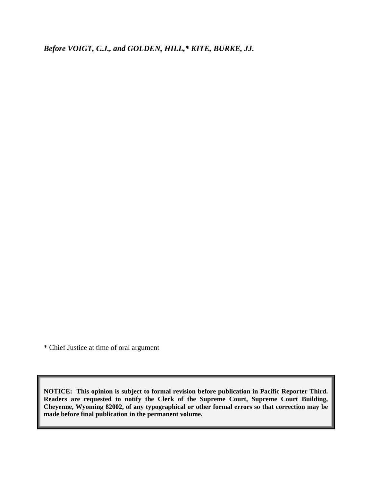*Before VOIGT, C.J., and GOLDEN, HILL,\* KITE, BURKE, JJ.*

\* Chief Justice at time of oral argument

**NOTICE: This opinion is subject to formal revision before publication in Pacific Reporter Third. Readers are requested to notify the Clerk of the Supreme Court, Supreme Court Building, Cheyenne, Wyoming 82002, of any typographical or other formal errors so that correction may be made before final publication in the permanent volume.**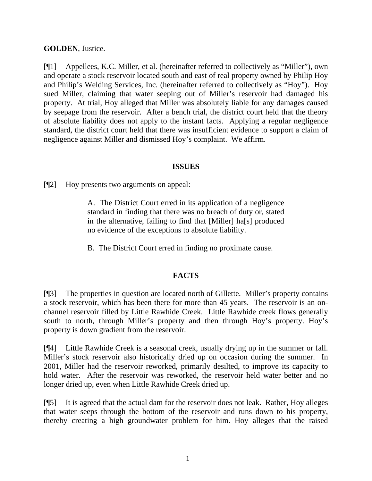## **GOLDEN**, Justice.

[¶1] Appellees, K.C. Miller, et al. (hereinafter referred to collectively as "Miller"), own and operate a stock reservoir located south and east of real property owned by Philip Hoy and Philip's Welding Services, Inc. (hereinafter referred to collectively as "Hoy"). Hoy sued Miller, claiming that water seeping out of Miller's reservoir had damaged his property. At trial, Hoy alleged that Miller was absolutely liable for any damages caused by seepage from the reservoir. After a bench trial, the district court held that the theory of absolute liability does not apply to the instant facts. Applying a regular negligence standard, the district court held that there was insufficient evidence to support a claim of negligence against Miller and dismissed Hoy's complaint. We affirm.

### **ISSUES**

[¶2] Hoy presents two arguments on appeal:

A. The District Court erred in its application of a negligence standard in finding that there was no breach of duty or, stated in the alternative, failing to find that [Miller] ha[s] produced no evidence of the exceptions to absolute liability.

B. The District Court erred in finding no proximate cause.

## **FACTS**

[¶3] The properties in question are located north of Gillette. Miller's property contains a stock reservoir, which has been there for more than 45 years. The reservoir is an onchannel reservoir filled by Little Rawhide Creek. Little Rawhide creek flows generally south to north, through Miller's property and then through Hoy's property. Hoy's property is down gradient from the reservoir.

[¶4] Little Rawhide Creek is a seasonal creek, usually drying up in the summer or fall. Miller's stock reservoir also historically dried up on occasion during the summer. In 2001, Miller had the reservoir reworked, primarily desilted, to improve its capacity to hold water. After the reservoir was reworked, the reservoir held water better and no longer dried up, even when Little Rawhide Creek dried up.

[¶5] It is agreed that the actual dam for the reservoir does not leak. Rather, Hoy alleges that water seeps through the bottom of the reservoir and runs down to his property, thereby creating a high groundwater problem for him. Hoy alleges that the raised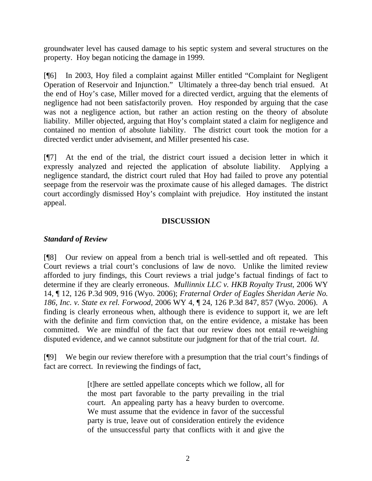groundwater level has caused damage to his septic system and several structures on the property. Hoy began noticing the damage in 1999.

[¶6] In 2003, Hoy filed a complaint against Miller entitled "Complaint for Negligent Operation of Reservoir and Injunction." Ultimately a three-day bench trial ensued. At the end of Hoy's case, Miller moved for a directed verdict, arguing that the elements of negligence had not been satisfactorily proven. Hoy responded by arguing that the case was not a negligence action, but rather an action resting on the theory of absolute liability. Miller objected, arguing that Hoy's complaint stated a claim for negligence and contained no mention of absolute liability. The district court took the motion for a directed verdict under advisement, and Miller presented his case.

[¶7] At the end of the trial, the district court issued a decision letter in which it expressly analyzed and rejected the application of absolute liability. Applying a negligence standard, the district court ruled that Hoy had failed to prove any potential seepage from the reservoir was the proximate cause of his alleged damages. The district court accordingly dismissed Hoy's complaint with prejudice. Hoy instituted the instant appeal.

### **DISCUSSION**

### *Standard of Review*

[¶8] Our review on appeal from a bench trial is well-settled and oft repeated. This Court reviews a trial court's conclusions of law de novo. Unlike the limited review afforded to jury findings, this Court reviews a trial judge's factual findings of fact to determine if they are clearly erroneous. *Mullinnix LLC v. HKB Royalty Trust*, 2006 WY 14, ¶ 12, 126 P.3d 909, 916 (Wyo. 2006); *Fraternal Order of Eagles Sheridan Aerie No. 186, Inc. v. State ex rel. Forwood*, 2006 WY 4, ¶ 24, 126 P.3d 847, 857 (Wyo. 2006). A finding is clearly erroneous when, although there is evidence to support it, we are left with the definite and firm conviction that, on the entire evidence, a mistake has been committed. We are mindful of the fact that our review does not entail re-weighing disputed evidence, and we cannot substitute our judgment for that of the trial court. *Id*.

[¶9] We begin our review therefore with a presumption that the trial court's findings of fact are correct. In reviewing the findings of fact,

> [t]here are settled appellate concepts which we follow, all for the most part favorable to the party prevailing in the trial court. An appealing party has a heavy burden to overcome. We must assume that the evidence in favor of the successful party is true, leave out of consideration entirely the evidence of the unsuccessful party that conflicts with it and give the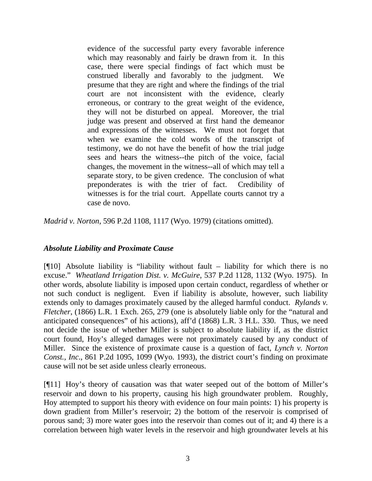evidence of the successful party every favorable inference which may reasonably and fairly be drawn from it. In this case, there were special findings of fact which must be construed liberally and favorably to the judgment. We presume that they are right and where the findings of the trial court are not inconsistent with the evidence, clearly erroneous, or contrary to the great weight of the evidence, they will not be disturbed on appeal. Moreover, the trial judge was present and observed at first hand the demeanor and expressions of the witnesses. We must not forget that when we examine the cold words of the transcript of testimony, we do not have the benefit of how the trial judge sees and hears the witness--the pitch of the voice, facial changes, the movement in the witness--all of which may tell a separate story, to be given credence. The conclusion of what preponderates is with the trier of fact. Credibility of witnesses is for the trial court. Appellate courts cannot try a case de novo.

*Madrid v. Norton*, 596 P.2d 1108, 1117 (Wyo. 1979) (citations omitted).

#### *Absolute Liability and Proximate Cause*

 $[$ [[10] Absolute liability is "liability without fault – liability for which there is no excuse." *Wheatland Irrigation Dist. v. McGuire*, 537 P.2d 1128, 1132 (Wyo. 1975). In other words, absolute liability is imposed upon certain conduct, regardless of whether or not such conduct is negligent. Even if liability is absolute, however, such liability extends only to damages proximately caused by the alleged harmful conduct. *Rylands v. Fletcher*, (1866) L.R. 1 Exch. 265, 279 (one is absolutely liable only for the "natural and anticipated consequences" of his actions), aff'd (1868) L.R. 3 H.L. 330. Thus, we need not decide the issue of whether Miller is subject to absolute liability if, as the district court found, Hoy's alleged damages were not proximately caused by any conduct of Miller. Since the existence of proximate cause is a question of fact, *Lynch v. Norton Const., Inc*., 861 P.2d 1095, 1099 (Wyo. 1993), the district court's finding on proximate cause will not be set aside unless clearly erroneous.

[¶11] Hoy's theory of causation was that water seeped out of the bottom of Miller's reservoir and down to his property, causing his high groundwater problem. Roughly, Hoy attempted to support his theory with evidence on four main points: 1) his property is down gradient from Miller's reservoir; 2) the bottom of the reservoir is comprised of porous sand; 3) more water goes into the reservoir than comes out of it; and 4) there is a correlation between high water levels in the reservoir and high groundwater levels at his